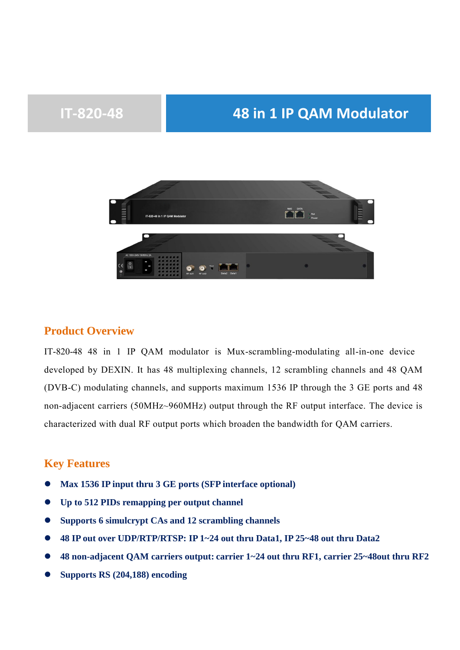# **IT-820-48 48 in 1 IP QAM Modulator**



### **Product Overview**

IT-820-48 48 in 1 IP QAM modulator is Mux-scrambling-modulating all-in-one device developed by DEXIN. It has 48 multiplexing channels, 12 scrambling channels and 48 QAM (DVB-C) modulating channels, and supports maximum 1536 IP through the 3 GE ports and 48 non-adjacent carriers (50MHz~960MHz) output through the RF output interface. The device is characterized with dual RF output ports which broaden the bandwidth for QAM carriers.

### **Key Features**

- **Max 1536 IP input thru 3 GE ports (SFP interface optional)**
- **Up to 512 PIDs remapping per output channel**
- **Supports 6 simulcrypt CAs and 12 scrambling channels**
- **48 IP out over UDP/RTP/RTSP: IP 1~24 out thru Data1, IP 25~48 out thru Data2**
- **48 non-adjacent QAM carriers output: carrier 1~24 out thru RF1, carrier 25~48out thru RF2**
- **Supports RS (204,188) encoding**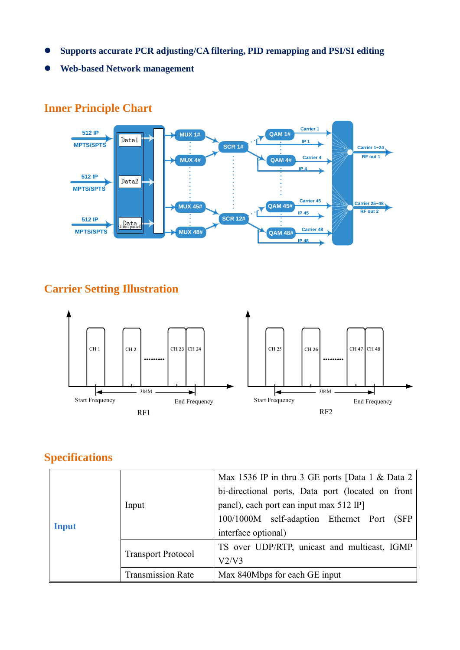- **Supports accurate PCR adjusting/CA filtering, PID remapping and PSI/SI editing**
- **Web-based Network management**

### **512 IP MPTS/SPTS MPTS/SPTS RF out 1 RF out 2 512 IP 512 IP MPTS/SPTS** Data1 Data2 Data<br>front panel) **MUX 48# SCR 12# QAM 48# Carrier 48 IP 48 QAM 45# Carrier 45 IP 45#**<br> **IP 45#**<br> **IP 45#**<br> **IP 45#**<br> **IP 45#**<br> **IP 45# SCR 1# Carrier 4**<br>**CAM 4# Carrier 4 IP 4 QAM 1# Carrier 1 IP 1 IP 1 IP 1 IP 1 IP 1 IP 1 IP 1 IP 1 Carrier 25~48 Carrier 1~24**

### **Inner Principle Chart**

## **Carrier Setting Illustration**



# **Specifications**

| <b>Input</b> | Input                     | Max 1536 IP in thru 3 GE ports [Data 1 & Data 2<br>bi-directional ports, Data port (located on front<br>panel), each port can input max 512 IP<br>100/1000M self-adaption Ethernet Port (SFP<br>interface optional) |  |  |
|--------------|---------------------------|---------------------------------------------------------------------------------------------------------------------------------------------------------------------------------------------------------------------|--|--|
|              | <b>Transport Protocol</b> | TS over UDP/RTP, unicast and multicast, IGMP<br>V2/V3                                                                                                                                                               |  |  |
|              | <b>Transmission Rate</b>  | Max 840Mbps for each GE input                                                                                                                                                                                       |  |  |